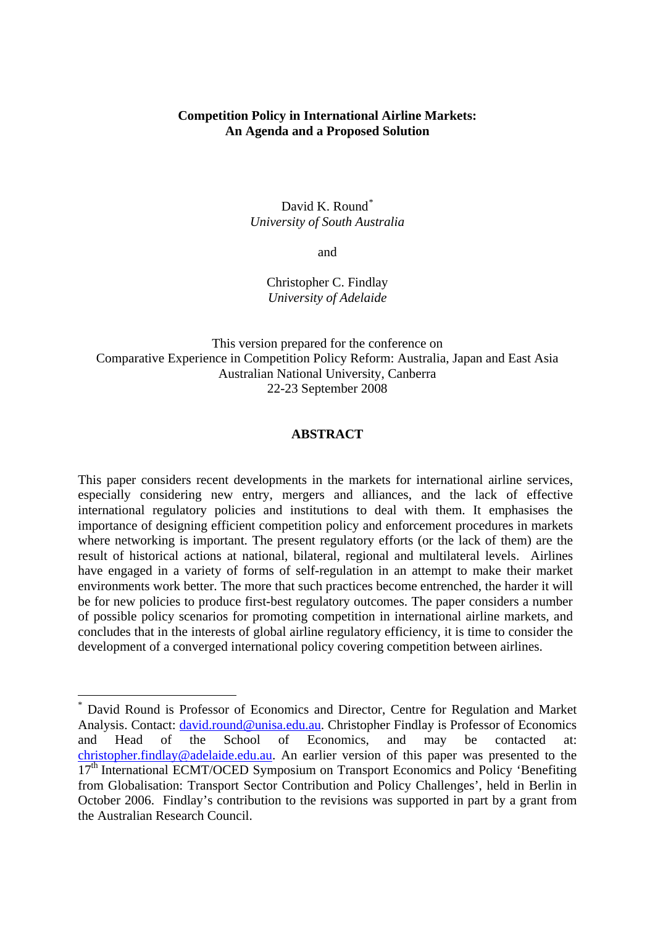#### **Competition Policy in International Airline Markets: An Agenda and a Proposed Solution**

### David K. Round<sup>[\\*](#page-0-0)</sup> *University of South Australia*

and

Christopher C. Findlay *University of Adelaide* 

This version prepared for the conference on Comparative Experience in Competition Policy Reform: Australia, Japan and East Asia Australian National University, Canberra 22-23 September 2008

# **ABSTRACT**

This paper considers recent developments in the markets for international airline services, especially considering new entry, mergers and alliances, and the lack of effective international regulatory policies and institutions to deal with them. It emphasises the importance of designing efficient competition policy and enforcement procedures in markets where networking is important. The present regulatory efforts (or the lack of them) are the result of historical actions at national, bilateral, regional and multilateral levels. Airlines have engaged in a variety of forms of self-regulation in an attempt to make their market environments work better. The more that such practices become entrenched, the harder it will be for new policies to produce first-best regulatory outcomes. The paper considers a number of possible policy scenarios for promoting competition in international airline markets, and concludes that in the interests of global airline regulatory efficiency, it is time to consider the development of a converged international policy covering competition between airlines.

<span id="page-0-0"></span><sup>\*</sup> David Round is Professor of Economics and Director, Centre for Regulation and Market Analysis. Contact: [david.round@unisa.edu.au.](mailto:david.round@unisa.edu.au) Christopher Findlay is Professor of Economics and Head of the School of Economics, and may be contacted at: [christopher.findlay@adelaide.edu.au.](mailto:christopher.findlay@adelaide.edu.au) An earlier version of this paper was presented to the 17<sup>th</sup> International ECMT/OCED Symposium on Transport Economics and Policy 'Benefiting from Globalisation: Transport Sector Contribution and Policy Challenges', held in Berlin in October 2006. Findlay's contribution to the revisions was supported in part by a grant from the Australian Research Council.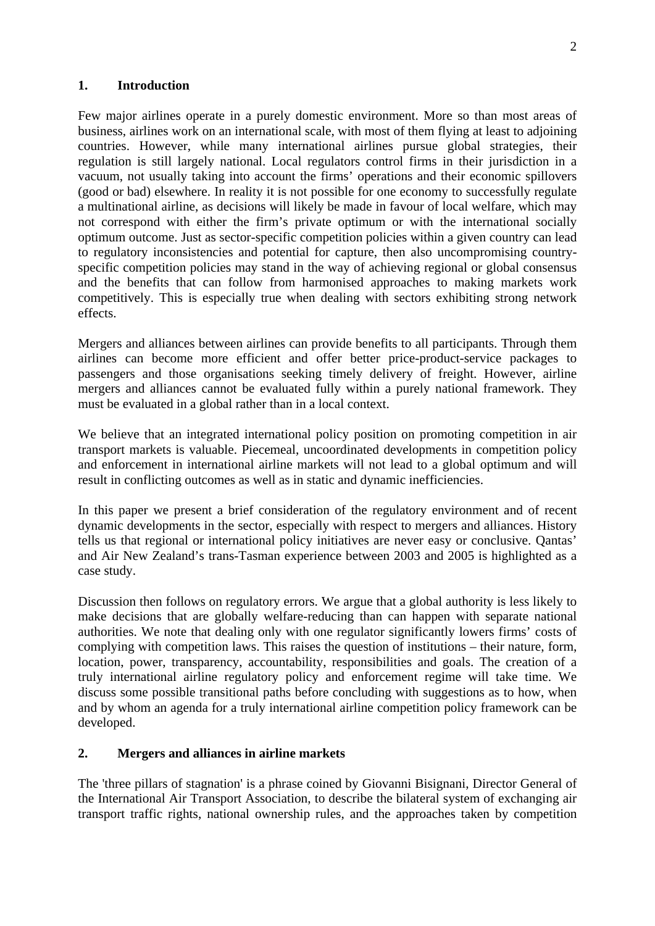#### **1. Introduction**

Few major airlines operate in a purely domestic environment. More so than most areas of business, airlines work on an international scale, with most of them flying at least to adjoining countries. However, while many international airlines pursue global strategies, their regulation is still largely national. Local regulators control firms in their jurisdiction in a vacuum, not usually taking into account the firms' operations and their economic spillovers (good or bad) elsewhere. In reality it is not possible for one economy to successfully regulate a multinational airline, as decisions will likely be made in favour of local welfare, which may not correspond with either the firm's private optimum or with the international socially optimum outcome. Just as sector-specific competition policies within a given country can lead to regulatory inconsistencies and potential for capture, then also uncompromising countryspecific competition policies may stand in the way of achieving regional or global consensus and the benefits that can follow from harmonised approaches to making markets work competitively. This is especially true when dealing with sectors exhibiting strong network effects.

Mergers and alliances between airlines can provide benefits to all participants. Through them airlines can become more efficient and offer better price-product-service packages to passengers and those organisations seeking timely delivery of freight. However, airline mergers and alliances cannot be evaluated fully within a purely national framework. They must be evaluated in a global rather than in a local context.

We believe that an integrated international policy position on promoting competition in air transport markets is valuable. Piecemeal, uncoordinated developments in competition policy and enforcement in international airline markets will not lead to a global optimum and will result in conflicting outcomes as well as in static and dynamic inefficiencies.

In this paper we present a brief consideration of the regulatory environment and of recent dynamic developments in the sector, especially with respect to mergers and alliances. History tells us that regional or international policy initiatives are never easy or conclusive. Qantas' and Air New Zealand's trans-Tasman experience between 2003 and 2005 is highlighted as a case study.

Discussion then follows on regulatory errors. We argue that a global authority is less likely to make decisions that are globally welfare-reducing than can happen with separate national authorities. We note that dealing only with one regulator significantly lowers firms' costs of complying with competition laws. This raises the question of institutions – their nature, form, location, power, transparency, accountability, responsibilities and goals. The creation of a truly international airline regulatory policy and enforcement regime will take time. We discuss some possible transitional paths before concluding with suggestions as to how, when and by whom an agenda for a truly international airline competition policy framework can be developed.

### **2. Mergers and alliances in airline markets**

The 'three pillars of stagnation' is a phrase coined by Giovanni Bisignani, Director General of the International Air Transport Association, to describe the bilateral system of exchanging air transport traffic rights, national ownership rules, and the approaches taken by competition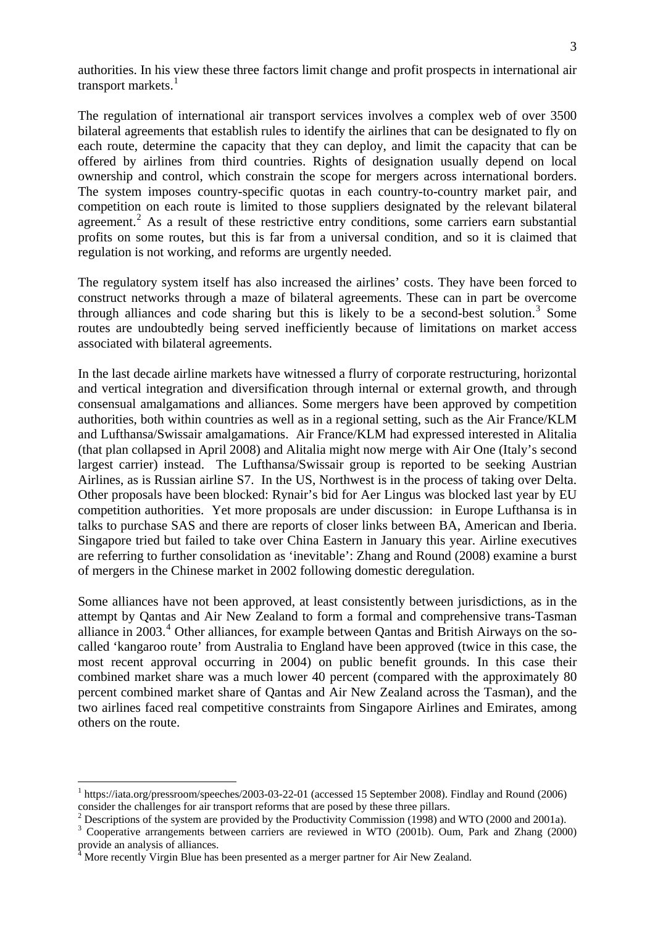authorities. In his view these three factors limit change and profit prospects in international air transport markets. $<sup>1</sup>$  $<sup>1</sup>$  $<sup>1</sup>$ </sup>

The regulation of international air transport services involves a complex web of over 3500 bilateral agreements that establish rules to identify the airlines that can be designated to fly on each route, determine the capacity that they can deploy, and limit the capacity that can be offered by airlines from third countries. Rights of designation usually depend on local ownership and control, which constrain the scope for mergers across international borders. The system imposes country-specific quotas in each country-to-country market pair, and competition on each route is limited to those suppliers designated by the relevant bilateral agreement.<sup>[2](#page-2-1)</sup> As a result of these restrictive entry conditions, some carriers earn substantial profits on some routes, but this is far from a universal condition, and so it is claimed that regulation is not working, and reforms are urgently needed.

The regulatory system itself has also increased the airlines' costs. They have been forced to construct networks through a maze of bilateral agreements. These can in part be overcome through alliances and code sharing but this is likely to be a second-best solution.<sup>[3](#page-2-2)</sup> Some routes are undoubtedly being served inefficiently because of limitations on market access associated with bilateral agreements.

In the last decade airline markets have witnessed a flurry of corporate restructuring, horizontal and vertical integration and diversification through internal or external growth, and through consensual amalgamations and alliances. Some mergers have been approved by competition authorities, both within countries as well as in a regional setting, such as the Air France/KLM and Lufthansa/Swissair amalgamations. Air France/KLM had expressed interested in Alitalia (that plan collapsed in April 2008) and Alitalia might now merge with Air One (Italy's second largest carrier) instead. The Lufthansa/Swissair group is reported to be seeking Austrian Airlines, as is Russian airline S7. In the US, Northwest is in the process of taking over Delta. Other proposals have been blocked: Rynair's bid for Aer Lingus was blocked last year by EU competition authorities. Yet more proposals are under discussion: in Europe Lufthansa is in talks to purchase SAS and there are reports of closer links between BA, American and Iberia. Singapore tried but failed to take over China Eastern in January this year. Airline executives are referring to further consolidation as 'inevitable': Zhang and Round (2008) examine a burst of mergers in the Chinese market in 2002 following domestic deregulation.

Some alliances have not been approved, at least consistently between jurisdictions, as in the attempt by Qantas and Air New Zealand to form a formal and comprehensive trans-Tasman alliance in 2003.<sup>[4](#page-2-3)</sup> Other alliances, for example between Qantas and British Airways on the socalled 'kangaroo route' from Australia to England have been approved (twice in this case, the most recent approval occurring in 2004) on public benefit grounds. In this case their combined market share was a much lower 40 percent (compared with the approximately 80 percent combined market share of Qantas and Air New Zealand across the Tasman), and the two airlines faced real competitive constraints from Singapore Airlines and Emirates, among others on the route.

<span id="page-2-0"></span><sup>&</sup>lt;sup>1</sup> https://iata.org/pressroom/speeches/2003-03-22-01 (accessed 15 September 2008). Findlay and Round (2006) consider the challenges for air transport reforms that are posed by these three pillars.

<span id="page-2-1"></span><sup>&</sup>lt;sup>2</sup> Descriptions of the system are provided by the Productivity Commission (1998) and WTO (2000 and 2001a).

<span id="page-2-2"></span><sup>&</sup>lt;sup>3</sup> Cooperative arrangements between carriers are reviewed in WTO (2001b). Oum, Park and Zhang (2000) provide an analysis of alliances.<br><sup>4</sup> More recently Virgin Blue has been presented as a merger partner for Air New Zealand.

<span id="page-2-3"></span>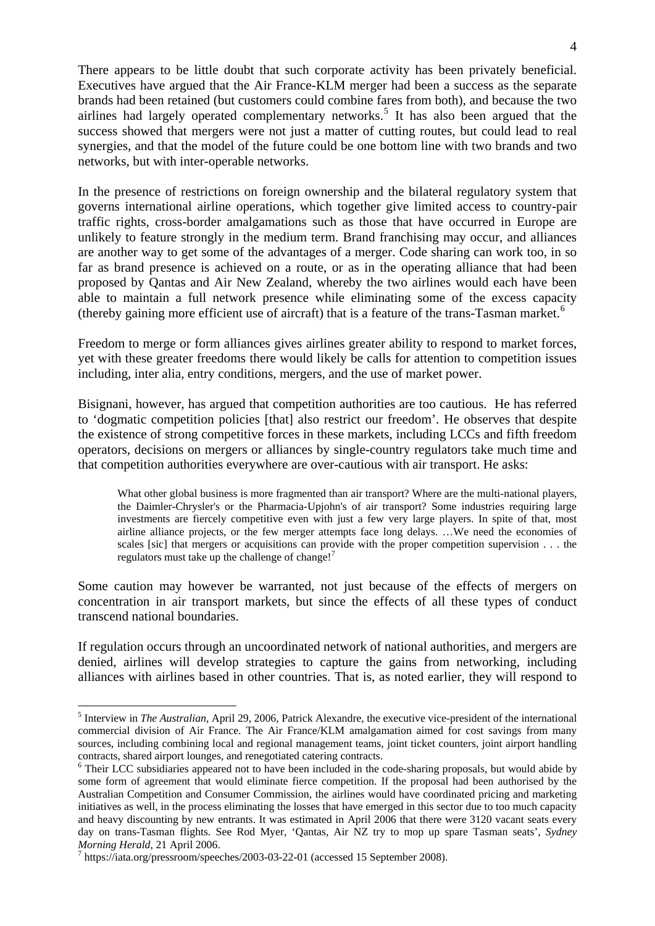There appears to be little doubt that such corporate activity has been privately beneficial. Executives have argued that the Air France-KLM merger had been a success as the separate brands had been retained (but customers could combine fares from both), and because the two airlines had largely operated complementary networks.<sup>[5](#page-3-0)</sup> It has also been argued that the success showed that mergers were not just a matter of cutting routes, but could lead to real synergies, and that the model of the future could be one bottom line with two brands and two networks, but with inter-operable networks.

In the presence of restrictions on foreign ownership and the bilateral regulatory system that governs international airline operations, which together give limited access to country-pair traffic rights, cross-border amalgamations such as those that have occurred in Europe are unlikely to feature strongly in the medium term. Brand franchising may occur, and alliances are another way to get some of the advantages of a merger. Code sharing can work too, in so far as brand presence is achieved on a route, or as in the operating alliance that had been proposed by Qantas and Air New Zealand, whereby the two airlines would each have been able to maintain a full network presence while eliminating some of the excess capacity (thereby gaining more efficient use of aircraft) that is a feature of the trans-Tasman market.<sup>[6](#page-3-1)</sup>

Freedom to merge or form alliances gives airlines greater ability to respond to market forces, yet with these greater freedoms there would likely be calls for attention to competition issues including, inter alia, entry conditions, mergers, and the use of market power.

Bisignani, however, has argued that competition authorities are too cautious. He has referred to 'dogmatic competition policies [that] also restrict our freedom'. He observes that despite the existence of strong competitive forces in these markets, including LCCs and fifth freedom operators, decisions on mergers or alliances by single-country regulators take much time and that competition authorities everywhere are over-cautious with air transport. He asks:

What other global business is more fragmented than air transport? Where are the multi-national players, the Daimler-Chrysler's or the Pharmacia-Upjohn's of air transport? Some industries requiring large investments are fiercely competitive even with just a few very large players. In spite of that, most airline alliance projects, or the few merger attempts face long delays. …We need the economies of scales [sic] that mergers or acquisitions can provide with the proper competition supervision . . . the regulators must take up the challenge of change!<sup>[7](#page-3-2)</sup>

Some caution may however be warranted, not just because of the effects of mergers on concentration in air transport markets, but since the effects of all these types of conduct transcend national boundaries.

If regulation occurs through an uncoordinated network of national authorities, and mergers are denied, airlines will develop strategies to capture the gains from networking, including alliances with airlines based in other countries. That is, as noted earlier, they will respond to

<span id="page-3-0"></span><sup>&</sup>lt;sup>5</sup> Interview in *The Australian*, April 29, 2006, Patrick Alexandre, the executive vice-president of the international commercial division of Air France. The Air France/KLM amalgamation aimed for cost savings from many sources, including combining local and regional management teams, joint ticket counters, joint airport handling contracts, shared airport lounges, and renegotiated catering contracts.

<span id="page-3-1"></span><sup>&</sup>lt;sup>6</sup> Their LCC subsidiaries appeared not to have been included in the code-sharing proposals, but would abide by some form of agreement that would eliminate fierce competition. If the proposal had been authorised by the Australian Competition and Consumer Commission, the airlines would have coordinated pricing and marketing initiatives as well, in the process eliminating the losses that have emerged in this sector due to too much capacity and heavy discounting by new entrants. It was estimated in April 2006 that there were 3120 vacant seats every day on trans-Tasman flights. See Rod Myer, 'Qantas, Air NZ try to mop up spare Tasman seats', *Sydney Morning Herald*, 21 April 2006.

<span id="page-3-2"></span>https://iata.org/pressroom/speeches/2003-03-22-01 (accessed 15 September 2008).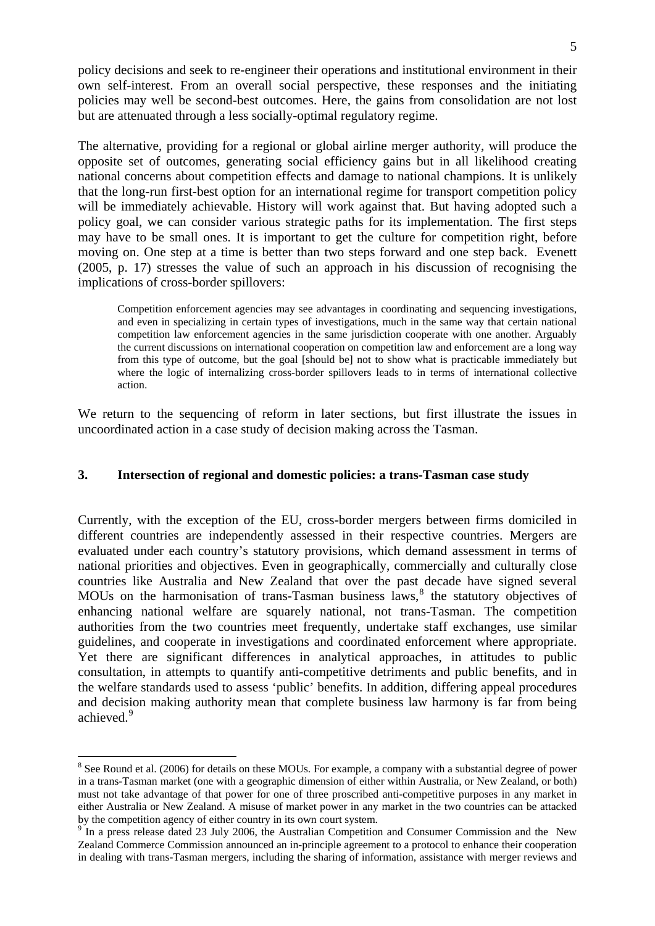policy decisions and seek to re-engineer their operations and institutional environment in their own self-interest. From an overall social perspective, these responses and the initiating policies may well be second-best outcomes. Here, the gains from consolidation are not lost but are attenuated through a less socially-optimal regulatory regime.

The alternative, providing for a regional or global airline merger authority, will produce the opposite set of outcomes, generating social efficiency gains but in all likelihood creating national concerns about competition effects and damage to national champions. It is unlikely that the long-run first-best option for an international regime for transport competition policy will be immediately achievable. History will work against that. But having adopted such a policy goal, we can consider various strategic paths for its implementation. The first steps may have to be small ones. It is important to get the culture for competition right, before moving on. One step at a time is better than two steps forward and one step back. Evenett (2005, p. 17) stresses the value of such an approach in his discussion of recognising the implications of cross-border spillovers:

Competition enforcement agencies may see advantages in coordinating and sequencing investigations, and even in specializing in certain types of investigations, much in the same way that certain national competition law enforcement agencies in the same jurisdiction cooperate with one another. Arguably the current discussions on international cooperation on competition law and enforcement are a long way from this type of outcome, but the goal [should be] not to show what is practicable immediately but where the logic of internalizing cross-border spillovers leads to in terms of international collective action.

We return to the sequencing of reform in later sections, but first illustrate the issues in uncoordinated action in a case study of decision making across the Tasman.

### **3. Intersection of regional and domestic policies: a trans-Tasman case study**

Currently, with the exception of the EU, cross-border mergers between firms domiciled in different countries are independently assessed in their respective countries. Mergers are evaluated under each country's statutory provisions, which demand assessment in terms of national priorities and objectives. Even in geographically, commercially and culturally close countries like Australia and New Zealand that over the past decade have signed several MOUs on the harmonisation of trans-Tasman business  $\text{laws},^8$  $\text{laws},^8$  the statutory objectives of enhancing national welfare are squarely national, not trans-Tasman. The competition authorities from the two countries meet frequently, undertake staff exchanges, use similar guidelines, and cooperate in investigations and coordinated enforcement where appropriate. Yet there are significant differences in analytical approaches, in attitudes to public consultation, in attempts to quantify anti-competitive detriments and public benefits, and in the welfare standards used to assess 'public' benefits. In addition, differing appeal procedures and decision making authority mean that complete business law harmony is far from being achieved.<sup>[9](#page-4-1)</sup>

<u>.</u>

<span id="page-4-0"></span><sup>&</sup>lt;sup>8</sup> See Round et al. (2006) for details on these MOUs. For example, a company with a substantial degree of power in a trans-Tasman market (one with a geographic dimension of either within Australia, or New Zealand, or both) must not take advantage of that power for one of three proscribed anti-competitive purposes in any market in either Australia or New Zealand. A misuse of market power in any market in the two countries can be attacked by the competition agency of either country in its own court system.

<span id="page-4-1"></span><sup>&</sup>lt;sup>9</sup> In a press release dated 23 July 2006, the Australian Competition and Consumer Commission and the New Zealand Commerce Commission announced an in-principle agreement to a protocol to enhance their cooperation in dealing with trans-Tasman mergers, including the sharing of information, assistance with merger reviews and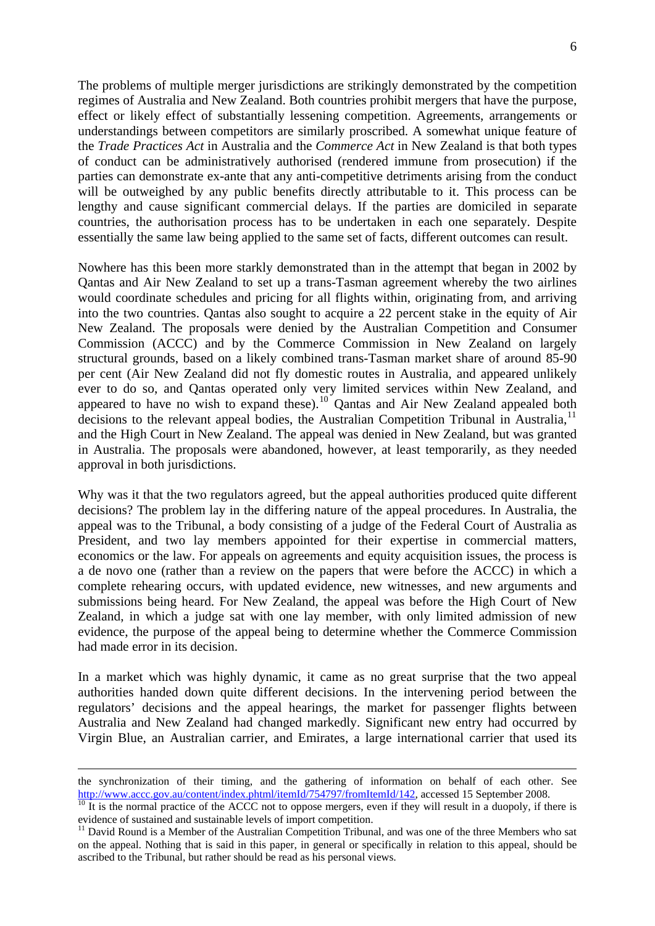The problems of multiple merger jurisdictions are strikingly demonstrated by the competition regimes of Australia and New Zealand. Both countries prohibit mergers that have the purpose, effect or likely effect of substantially lessening competition. Agreements, arrangements or understandings between competitors are similarly proscribed. A somewhat unique feature of the *Trade Practices Act* in Australia and the *Commerce Act* in New Zealand is that both types of conduct can be administratively authorised (rendered immune from prosecution) if the parties can demonstrate ex-ante that any anti-competitive detriments arising from the conduct will be outweighed by any public benefits directly attributable to it. This process can be lengthy and cause significant commercial delays. If the parties are domiciled in separate countries, the authorisation process has to be undertaken in each one separately. Despite essentially the same law being applied to the same set of facts, different outcomes can result.

Nowhere has this been more starkly demonstrated than in the attempt that began in 2002 by Qantas and Air New Zealand to set up a trans-Tasman agreement whereby the two airlines would coordinate schedules and pricing for all flights within, originating from, and arriving into the two countries. Qantas also sought to acquire a 22 percent stake in the equity of Air New Zealand. The proposals were denied by the Australian Competition and Consumer Commission (ACCC) and by the Commerce Commission in New Zealand on largely structural grounds, based on a likely combined trans-Tasman market share of around 85-90 per cent (Air New Zealand did not fly domestic routes in Australia, and appeared unlikely ever to do so, and Qantas operated only very limited services within New Zealand, and appeared to have no wish to expand these).<sup>[10](#page-5-0)</sup> Oantas and Air New Zealand appealed both decisions to the relevant appeal bodies, the Australian Competition Tribunal in Australia,<sup>[11](#page-5-1)</sup> and the High Court in New Zealand. The appeal was denied in New Zealand, but was granted in Australia. The proposals were abandoned, however, at least temporarily, as they needed approval in both jurisdictions.

Why was it that the two regulators agreed, but the appeal authorities produced quite different decisions? The problem lay in the differing nature of the appeal procedures. In Australia, the appeal was to the Tribunal, a body consisting of a judge of the Federal Court of Australia as President, and two lay members appointed for their expertise in commercial matters, economics or the law. For appeals on agreements and equity acquisition issues, the process is a de novo one (rather than a review on the papers that were before the ACCC) in which a complete rehearing occurs, with updated evidence, new witnesses, and new arguments and submissions being heard. For New Zealand, the appeal was before the High Court of New Zealand, in which a judge sat with one lay member, with only limited admission of new evidence, the purpose of the appeal being to determine whether the Commerce Commission had made error in its decision.

In a market which was highly dynamic, it came as no great surprise that the two appeal authorities handed down quite different decisions. In the intervening period between the regulators' decisions and the appeal hearings, the market for passenger flights between Australia and New Zealand had changed markedly. Significant new entry had occurred by Virgin Blue, an Australian carrier, and Emirates, a large international carrier that used its

the synchronization of their timing, and the gathering of information on behalf of each other. See [http://www.accc.gov.au/content/index.phtml/itemId/754797/fromItemId/142,](http://www.accc.gov.au/content/index.phtml/itemId/754797/fromItemId/142) accessed 15 September 2008.<br><sup>10</sup> It is the normal practice of the ACCC not to oppose mergers, even if they will result in a duopoly, if there is

<span id="page-5-0"></span>evidence of sustained and sustainable levels of import competition.

<span id="page-5-1"></span><sup>&</sup>lt;sup>11</sup> David Round is a Member of the Australian Competition Tribunal, and was one of the three Members who sat on the appeal. Nothing that is said in this paper, in general or specifically in relation to this appeal, should be ascribed to the Tribunal, but rather should be read as his personal views.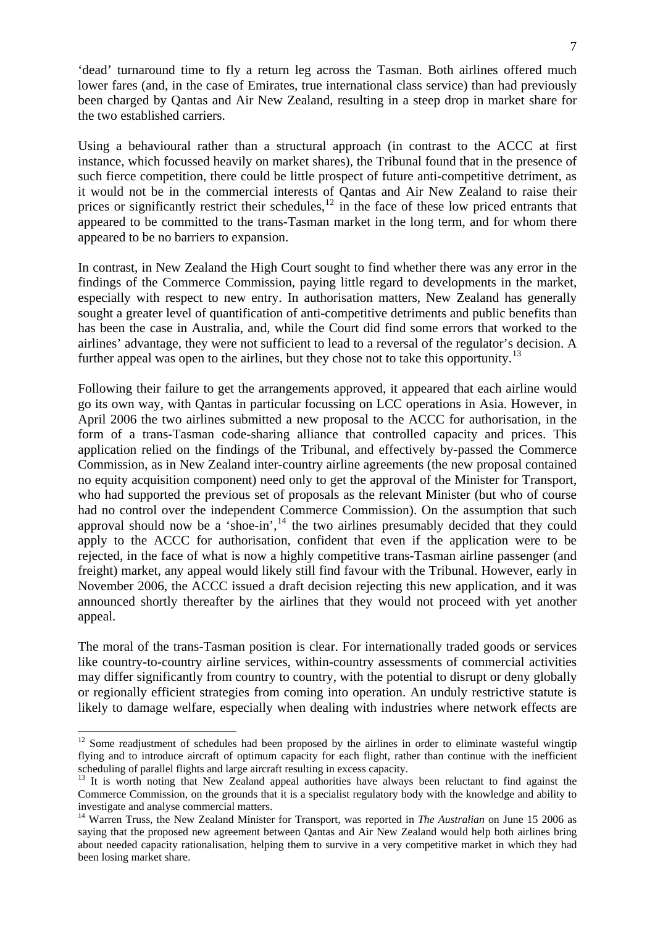'dead' turnaround time to fly a return leg across the Tasman. Both airlines offered much lower fares (and, in the case of Emirates, true international class service) than had previously been charged by Qantas and Air New Zealand, resulting in a steep drop in market share for the two established carriers.

Using a behavioural rather than a structural approach (in contrast to the ACCC at first instance, which focussed heavily on market shares), the Tribunal found that in the presence of such fierce competition, there could be little prospect of future anti-competitive detriment, as it would not be in the commercial interests of Qantas and Air New Zealand to raise their prices or significantly restrict their schedules, $12$  in the face of these low priced entrants that appeared to be committed to the trans-Tasman market in the long term, and for whom there appeared to be no barriers to expansion.

In contrast, in New Zealand the High Court sought to find whether there was any error in the findings of the Commerce Commission, paying little regard to developments in the market, especially with respect to new entry. In authorisation matters, New Zealand has generally sought a greater level of quantification of anti-competitive detriments and public benefits than has been the case in Australia, and, while the Court did find some errors that worked to the airlines' advantage, they were not sufficient to lead to a reversal of the regulator's decision. A further appeal was open to the airlines, but they chose not to take this opportunity.<sup>[13](#page-6-1)</sup>

Following their failure to get the arrangements approved, it appeared that each airline would go its own way, with Qantas in particular focussing on LCC operations in Asia. However, in April 2006 the two airlines submitted a new proposal to the ACCC for authorisation, in the form of a trans-Tasman code-sharing alliance that controlled capacity and prices. This application relied on the findings of the Tribunal, and effectively by-passed the Commerce Commission, as in New Zealand inter-country airline agreements (the new proposal contained no equity acquisition component) need only to get the approval of the Minister for Transport, who had supported the previous set of proposals as the relevant Minister (but who of course had no control over the independent Commerce Commission). On the assumption that such approval should now be a 'shoe-in',  $\frac{1}{4}$  the two airlines presumably decided that they could apply to the ACCC for authorisation, confident that even if the application were to be rejected, in the face of what is now a highly competitive trans-Tasman airline passenger (and freight) market, any appeal would likely still find favour with the Tribunal. However, early in November 2006, the ACCC issued a draft decision rejecting this new application, and it was announced shortly thereafter by the airlines that they would not proceed with yet another appeal.

The moral of the trans-Tasman position is clear. For internationally traded goods or services like country-to-country airline services, within-country assessments of commercial activities may differ significantly from country to country, with the potential to disrupt or deny globally or regionally efficient strategies from coming into operation. An unduly restrictive statute is likely to damage welfare, especially when dealing with industries where network effects are

<span id="page-6-0"></span> $12$  Some readjustment of schedules had been proposed by the airlines in order to eliminate wasteful wingtip flying and to introduce aircraft of optimum capacity for each flight, rather than continue with the inefficient scheduling of parallel flights and large aircraft resulting in excess capacity.

<span id="page-6-1"></span><sup>&</sup>lt;sup>13</sup> It is worth noting that New Zealand appeal authorities have always been reluctant to find against the Commerce Commission, on the grounds that it is a specialist regulatory body with the knowledge and ability to investigate and analyse commercial matters.

<span id="page-6-2"></span><sup>&</sup>lt;sup>14</sup> Warren Truss, the New Zealand Minister for Transport, was reported in *The Australian* on June 15 2006 as saying that the proposed new agreement between Qantas and Air New Zealand would help both airlines bring about needed capacity rationalisation, helping them to survive in a very competitive market in which they had been losing market share.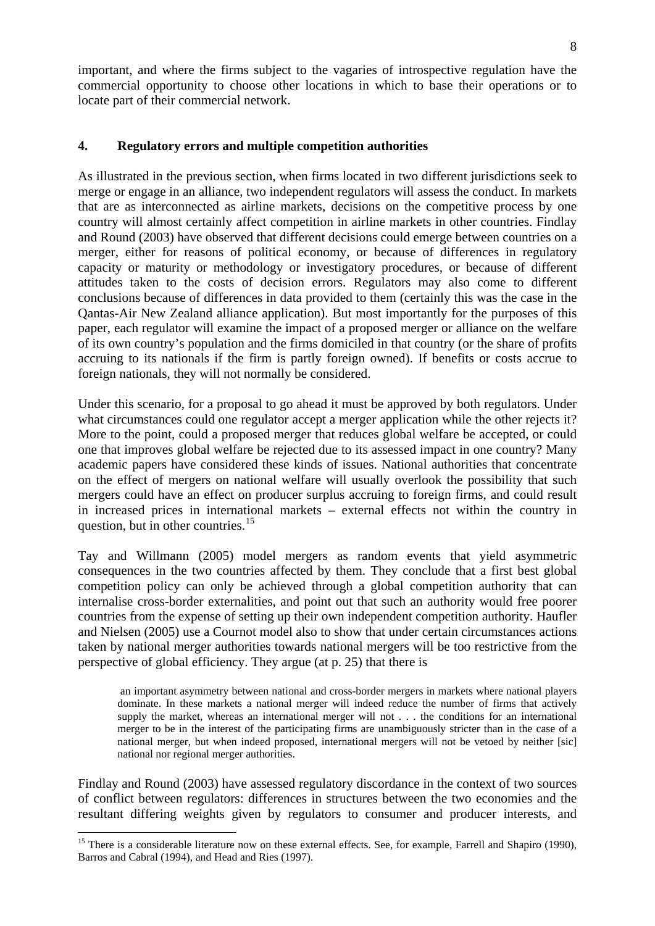important, and where the firms subject to the vagaries of introspective regulation have the commercial opportunity to choose other locations in which to base their operations or to locate part of their commercial network.

# **4. Regulatory errors and multiple competition authorities**

As illustrated in the previous section, when firms located in two different jurisdictions seek to merge or engage in an alliance, two independent regulators will assess the conduct. In markets that are as interconnected as airline markets, decisions on the competitive process by one country will almost certainly affect competition in airline markets in other countries. Findlay and Round (2003) have observed that different decisions could emerge between countries on a merger, either for reasons of political economy, or because of differences in regulatory capacity or maturity or methodology or investigatory procedures, or because of different attitudes taken to the costs of decision errors. Regulators may also come to different conclusions because of differences in data provided to them (certainly this was the case in the Qantas-Air New Zealand alliance application). But most importantly for the purposes of this paper, each regulator will examine the impact of a proposed merger or alliance on the welfare of its own country's population and the firms domiciled in that country (or the share of profits accruing to its nationals if the firm is partly foreign owned). If benefits or costs accrue to foreign nationals, they will not normally be considered.

Under this scenario, for a proposal to go ahead it must be approved by both regulators. Under what circumstances could one regulator accept a merger application while the other rejects it? More to the point, could a proposed merger that reduces global welfare be accepted, or could one that improves global welfare be rejected due to its assessed impact in one country? Many academic papers have considered these kinds of issues. National authorities that concentrate on the effect of mergers on national welfare will usually overlook the possibility that such mergers could have an effect on producer surplus accruing to foreign firms, and could result in increased prices in international markets – external effects not within the country in question, but in other countries. $15$ 

Tay and Willmann (2005) model mergers as random events that yield asymmetric consequences in the two countries affected by them. They conclude that a first best global competition policy can only be achieved through a global competition authority that can internalise cross-border externalities, and point out that such an authority would free poorer countries from the expense of setting up their own independent competition authority. Haufler and Nielsen (2005) use a Cournot model also to show that under certain circumstances actions taken by national merger authorities towards national mergers will be too restrictive from the perspective of global efficiency. They argue (at p. 25) that there is

 an important asymmetry between national and cross-border mergers in markets where national players dominate. In these markets a national merger will indeed reduce the number of firms that actively supply the market, whereas an international merger will not . . . the conditions for an international merger to be in the interest of the participating firms are unambiguously stricter than in the case of a national merger, but when indeed proposed, international mergers will not be vetoed by neither [sic] national nor regional merger authorities.

Findlay and Round (2003) have assessed regulatory discordance in the context of two sources of conflict between regulators: differences in structures between the two economies and the resultant differing weights given by regulators to consumer and producer interests, and

<span id="page-7-0"></span><sup>&</sup>lt;sup>15</sup> There is a considerable literature now on these external effects. See, for example, Farrell and Shapiro (1990), Barros and Cabral (1994), and Head and Ries (1997).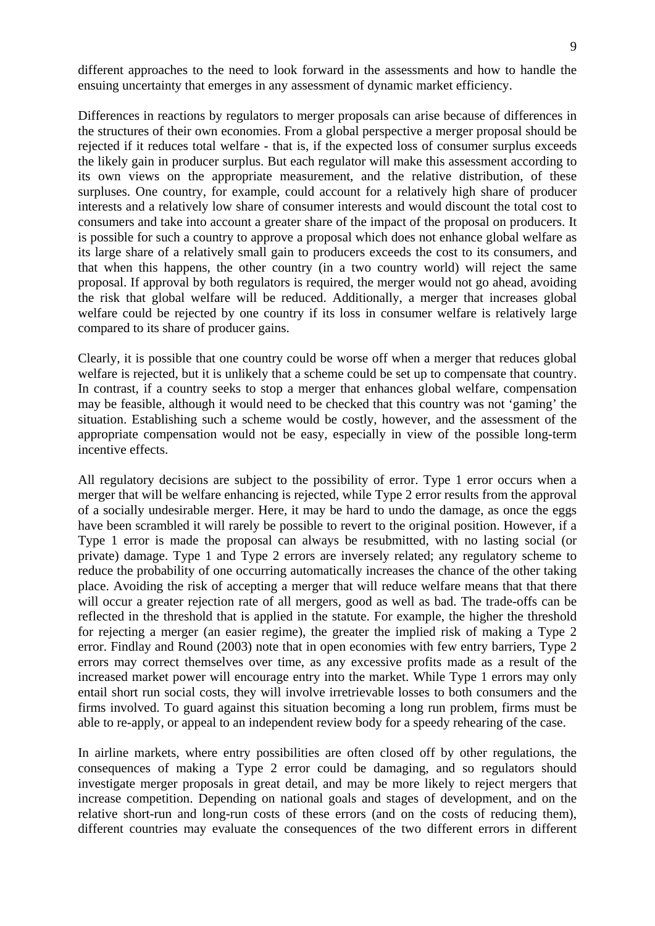different approaches to the need to look forward in the assessments and how to handle the ensuing uncertainty that emerges in any assessment of dynamic market efficiency.

Differences in reactions by regulators to merger proposals can arise because of differences in the structures of their own economies. From a global perspective a merger proposal should be rejected if it reduces total welfare - that is, if the expected loss of consumer surplus exceeds the likely gain in producer surplus. But each regulator will make this assessment according to its own views on the appropriate measurement, and the relative distribution, of these surpluses. One country, for example, could account for a relatively high share of producer interests and a relatively low share of consumer interests and would discount the total cost to consumers and take into account a greater share of the impact of the proposal on producers. It is possible for such a country to approve a proposal which does not enhance global welfare as its large share of a relatively small gain to producers exceeds the cost to its consumers, and that when this happens, the other country (in a two country world) will reject the same proposal. If approval by both regulators is required, the merger would not go ahead, avoiding the risk that global welfare will be reduced. Additionally, a merger that increases global welfare could be rejected by one country if its loss in consumer welfare is relatively large compared to its share of producer gains.

Clearly, it is possible that one country could be worse off when a merger that reduces global welfare is rejected, but it is unlikely that a scheme could be set up to compensate that country. In contrast, if a country seeks to stop a merger that enhances global welfare, compensation may be feasible, although it would need to be checked that this country was not 'gaming' the situation. Establishing such a scheme would be costly, however, and the assessment of the appropriate compensation would not be easy, especially in view of the possible long-term incentive effects.

All regulatory decisions are subject to the possibility of error. Type 1 error occurs when a merger that will be welfare enhancing is rejected, while Type 2 error results from the approval of a socially undesirable merger. Here, it may be hard to undo the damage, as once the eggs have been scrambled it will rarely be possible to revert to the original position. However, if a Type 1 error is made the proposal can always be resubmitted, with no lasting social (or private) damage. Type 1 and Type 2 errors are inversely related; any regulatory scheme to reduce the probability of one occurring automatically increases the chance of the other taking place. Avoiding the risk of accepting a merger that will reduce welfare means that that there will occur a greater rejection rate of all mergers, good as well as bad. The trade-offs can be reflected in the threshold that is applied in the statute. For example, the higher the threshold for rejecting a merger (an easier regime), the greater the implied risk of making a Type 2 error. Findlay and Round (2003) note that in open economies with few entry barriers, Type 2 errors may correct themselves over time, as any excessive profits made as a result of the increased market power will encourage entry into the market. While Type 1 errors may only entail short run social costs, they will involve irretrievable losses to both consumers and the firms involved. To guard against this situation becoming a long run problem, firms must be able to re-apply, or appeal to an independent review body for a speedy rehearing of the case.

In airline markets, where entry possibilities are often closed off by other regulations, the consequences of making a Type 2 error could be damaging, and so regulators should investigate merger proposals in great detail, and may be more likely to reject mergers that increase competition. Depending on national goals and stages of development, and on the relative short-run and long-run costs of these errors (and on the costs of reducing them), different countries may evaluate the consequences of the two different errors in different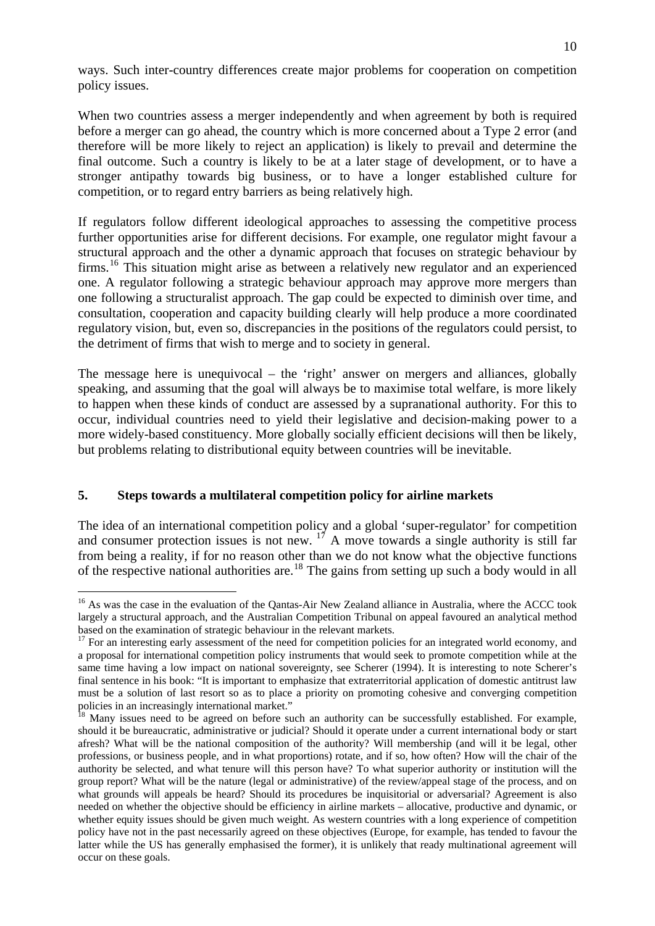ways. Such inter-country differences create major problems for cooperation on competition policy issues.

When two countries assess a merger independently and when agreement by both is required before a merger can go ahead, the country which is more concerned about a Type 2 error (and therefore will be more likely to reject an application) is likely to prevail and determine the final outcome. Such a country is likely to be at a later stage of development, or to have a stronger antipathy towards big business, or to have a longer established culture for competition, or to regard entry barriers as being relatively high.

If regulators follow different ideological approaches to assessing the competitive process further opportunities arise for different decisions. For example, one regulator might favour a structural approach and the other a dynamic approach that focuses on strategic behaviour by firms.<sup>[16](#page-9-0)</sup> This situation might arise as between a relatively new regulator and an experienced one. A regulator following a strategic behaviour approach may approve more mergers than one following a structuralist approach. The gap could be expected to diminish over time, and consultation, cooperation and capacity building clearly will help produce a more coordinated regulatory vision, but, even so, discrepancies in the positions of the regulators could persist, to the detriment of firms that wish to merge and to society in general.

The message here is unequivocal – the 'right' answer on mergers and alliances, globally speaking, and assuming that the goal will always be to maximise total welfare, is more likely to happen when these kinds of conduct are assessed by a supranational authority. For this to occur, individual countries need to yield their legislative and decision-making power to a more widely-based constituency. More globally socially efficient decisions will then be likely, but problems relating to distributional equity between countries will be inevitable.

# **5. Steps towards a multilateral competition policy for airline markets**

1

The idea of an international competition policy and a global 'super-regulator' for competition and consumer protection issues is not new.  $1^7$  A move towards a single authority is still far from being a reality, if for no reason other than we do not know what the objective functions of the respective national authorities are.[18](#page-9-2) The gains from setting up such a body would in all

<span id="page-9-0"></span><sup>&</sup>lt;sup>16</sup> As was the case in the evaluation of the Qantas-Air New Zealand alliance in Australia, where the ACCC took largely a structural approach, and the Australian Competition Tribunal on appeal favoured an analytical method based on the examination of strategic behaviour in the relevant markets.

<span id="page-9-1"></span> $17$  For an interesting early assessment of the need for competition policies for an integrated world economy, and a proposal for international competition policy instruments that would seek to promote competition while at the same time having a low impact on national sovereignty, see Scherer (1994). It is interesting to note Scherer's final sentence in his book: "It is important to emphasize that extraterritorial application of domestic antitrust law must be a solution of last resort so as to place a priority on promoting cohesive and converging competition policies in an increasingly international market."

<span id="page-9-2"></span><sup>&</sup>lt;sup>18</sup> Many issues need to be agreed on before such an authority can be successfully established. For example, should it be bureaucratic, administrative or judicial? Should it operate under a current international body or start afresh? What will be the national composition of the authority? Will membership (and will it be legal, other professions, or business people, and in what proportions) rotate, and if so, how often? How will the chair of the authority be selected, and what tenure will this person have? To what superior authority or institution will the group report? What will be the nature (legal or administrative) of the review/appeal stage of the process, and on what grounds will appeals be heard? Should its procedures be inquisitorial or adversarial? Agreement is also needed on whether the objective should be efficiency in airline markets – allocative, productive and dynamic, or whether equity issues should be given much weight. As western countries with a long experience of competition policy have not in the past necessarily agreed on these objectives (Europe, for example, has tended to favour the latter while the US has generally emphasised the former), it is unlikely that ready multinational agreement will occur on these goals.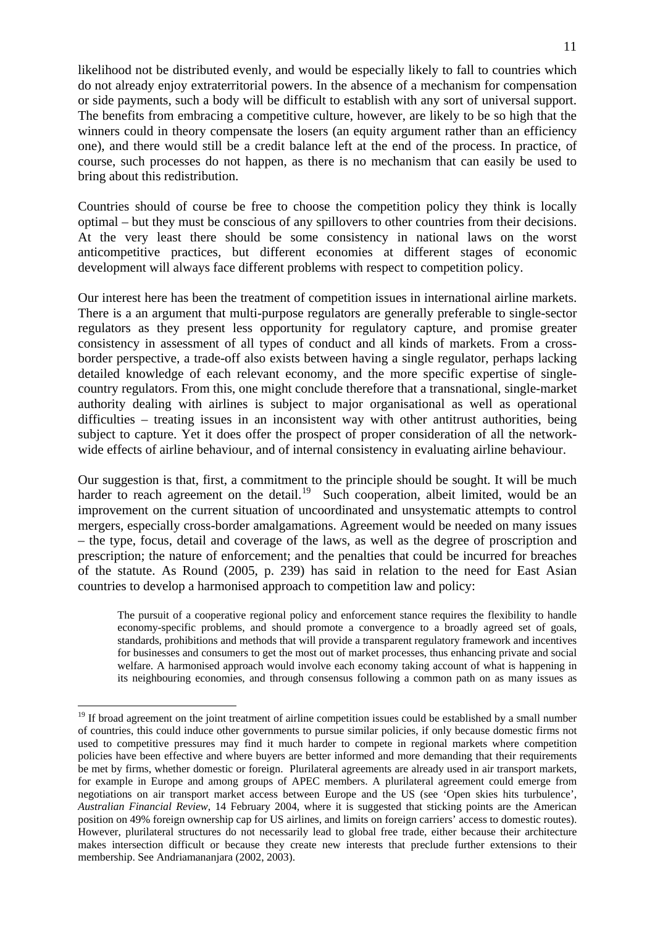likelihood not be distributed evenly, and would be especially likely to fall to countries which do not already enjoy extraterritorial powers. In the absence of a mechanism for compensation or side payments, such a body will be difficult to establish with any sort of universal support. The benefits from embracing a competitive culture, however, are likely to be so high that the winners could in theory compensate the losers (an equity argument rather than an efficiency one), and there would still be a credit balance left at the end of the process. In practice, of course, such processes do not happen, as there is no mechanism that can easily be used to bring about this redistribution.

Countries should of course be free to choose the competition policy they think is locally optimal – but they must be conscious of any spillovers to other countries from their decisions. At the very least there should be some consistency in national laws on the worst anticompetitive practices, but different economies at different stages of economic development will always face different problems with respect to competition policy.

Our interest here has been the treatment of competition issues in international airline markets. There is a an argument that multi-purpose regulators are generally preferable to single-sector regulators as they present less opportunity for regulatory capture, and promise greater consistency in assessment of all types of conduct and all kinds of markets. From a crossborder perspective, a trade-off also exists between having a single regulator, perhaps lacking detailed knowledge of each relevant economy, and the more specific expertise of singlecountry regulators. From this, one might conclude therefore that a transnational, single-market authority dealing with airlines is subject to major organisational as well as operational difficulties – treating issues in an inconsistent way with other antitrust authorities, being subject to capture. Yet it does offer the prospect of proper consideration of all the networkwide effects of airline behaviour, and of internal consistency in evaluating airline behaviour.

Our suggestion is that, first, a commitment to the principle should be sought. It will be much harder to reach agreement on the detail.<sup>[19](#page-10-0)</sup> Such cooperation, albeit limited, would be an improvement on the current situation of uncoordinated and unsystematic attempts to control mergers, especially cross-border amalgamations. Agreement would be needed on many issues – the type, focus, detail and coverage of the laws, as well as the degree of proscription and prescription; the nature of enforcement; and the penalties that could be incurred for breaches of the statute. As Round (2005, p. 239) has said in relation to the need for East Asian countries to develop a harmonised approach to competition law and policy:

The pursuit of a cooperative regional policy and enforcement stance requires the flexibility to handle economy-specific problems, and should promote a convergence to a broadly agreed set of goals, standards, prohibitions and methods that will provide a transparent regulatory framework and incentives for businesses and consumers to get the most out of market processes, thus enhancing private and social welfare. A harmonised approach would involve each economy taking account of what is happening in its neighbouring economies, and through consensus following a common path on as many issues as

<span id="page-10-0"></span><sup>&</sup>lt;sup>19</sup> If broad agreement on the joint treatment of airline competition issues could be established by a small number of countries, this could induce other governments to pursue similar policies, if only because domestic firms not used to competitive pressures may find it much harder to compete in regional markets where competition policies have been effective and where buyers are better informed and more demanding that their requirements be met by firms, whether domestic or foreign. Plurilateral agreements are already used in air transport markets, for example in Europe and among groups of APEC members. A plurilateral agreement could emerge from negotiations on air transport market access between Europe and the US (see 'Open skies hits turbulence', *Australian Financial Review*, 14 February 2004, where it is suggested that sticking points are the American position on 49% foreign ownership cap for US airlines, and limits on foreign carriers' access to domestic routes). However, plurilateral structures do not necessarily lead to global free trade, either because their architecture makes intersection difficult or because they create new interests that preclude further extensions to their membership. See Andriamananjara (2002, 2003).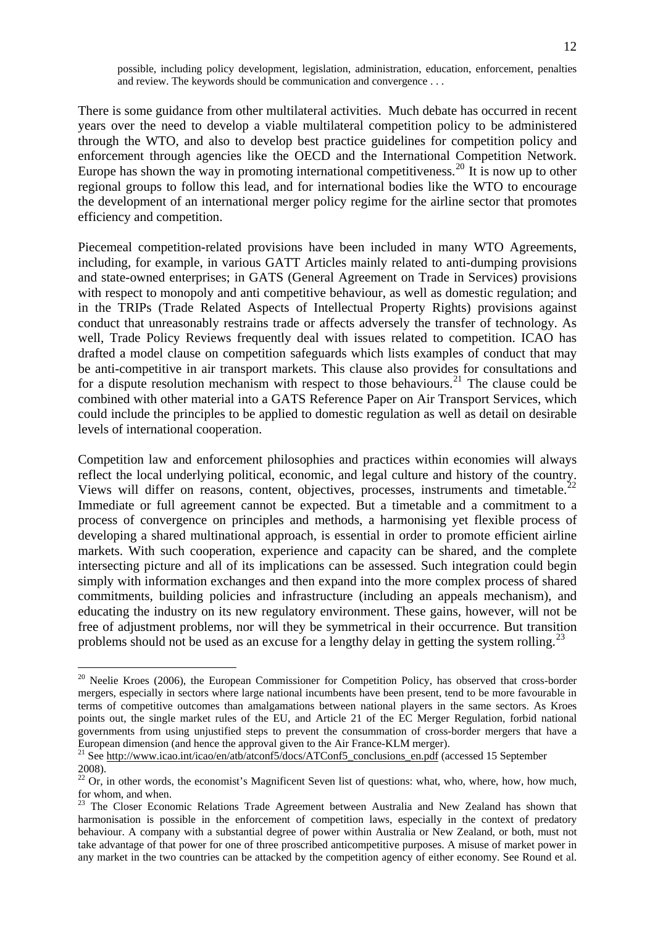possible, including policy development, legislation, administration, education, enforcement, penalties and review. The keywords should be communication and convergence . . .

There is some guidance from other multilateral activities. Much debate has occurred in recent years over the need to develop a viable multilateral competition policy to be administered through the WTO, and also to develop best practice guidelines for competition policy and enforcement through agencies like the OECD and the International Competition Network. Europe has shown the way in promoting international competitiveness.<sup>[20](#page-11-0)</sup> It is now up to other regional groups to follow this lead, and for international bodies like the WTO to encourage the development of an international merger policy regime for the airline sector that promotes efficiency and competition.

Piecemeal competition-related provisions have been included in many WTO Agreements, including, for example, in various GATT Articles mainly related to anti-dumping provisions and state-owned enterprises; in GATS (General Agreement on Trade in Services) provisions with respect to monopoly and anti competitive behaviour, as well as domestic regulation; and in the TRIPs (Trade Related Aspects of Intellectual Property Rights) provisions against conduct that unreasonably restrains trade or affects adversely the transfer of technology. As well, Trade Policy Reviews frequently deal with issues related to competition. ICAO has drafted a model clause on competition safeguards which lists examples of conduct that may be anti-competitive in air transport markets. This clause also provides for consultations and for a dispute resolution mechanism with respect to those behaviours.<sup>[21](#page-11-1)</sup> The clause could be combined with other material into a GATS Reference Paper on Air Transport Services, which could include the principles to be applied to domestic regulation as well as detail on desirable levels of international cooperation.

Competition law and enforcement philosophies and practices within economies will always reflect the local underlying political, economic, and legal culture and history of the country. Views will differ on reasons, content, objectives, processes, instruments and timetable.<sup>[22](#page-11-2)</sup> Immediate or full agreement cannot be expected. But a timetable and a commitment to a process of convergence on principles and methods, a harmonising yet flexible process of developing a shared multinational approach, is essential in order to promote efficient airline markets. With such cooperation, experience and capacity can be shared, and the complete intersecting picture and all of its implications can be assessed. Such integration could begin simply with information exchanges and then expand into the more complex process of shared commitments, building policies and infrastructure (including an appeals mechanism), and educating the industry on its new regulatory environment. These gains, however, will not be free of adjustment problems, nor will they be symmetrical in their occurrence. But transition problems should not be used as an excuse for a lengthy delay in getting the system rolling.<sup>[23](#page-11-3)</sup>

<span id="page-11-0"></span><sup>&</sup>lt;sup>20</sup> Neelie Kroes (2006), the European Commissioner for Competition Policy, has observed that cross-border mergers, especially in sectors where large national incumbents have been present, tend to be more favourable in terms of competitive outcomes than amalgamations between national players in the same sectors. As Kroes points out, the single market rules of the EU, and Article 21 of the EC Merger Regulation, forbid national governments from using unjustified steps to prevent the consummation of cross-border mergers that have a European dimension (and hence the approval given to the Air France-KLM merger).

<span id="page-11-1"></span><sup>&</sup>lt;sup>21</sup> See [http://www.icao.int/icao/en/atb/atconf5/docs/ATConf5\\_conclusions\\_en.pdf](http://www.icao.int/icao/en/atb/atconf5/docs/ATConf5_conclusions_en.pdf) (accessed 15 September 2008).

<span id="page-11-2"></span> $22$  Or, in other words, the economist's Magnificent Seven list of questions: what, who, where, how, how much, for whom, and when.

<span id="page-11-3"></span><sup>&</sup>lt;sup>23</sup> The Closer Economic Relations Trade Agreement between Australia and New Zealand has shown that harmonisation is possible in the enforcement of competition laws, especially in the context of predatory behaviour. A company with a substantial degree of power within Australia or New Zealand, or both, must not take advantage of that power for one of three proscribed anticompetitive purposes. A misuse of market power in any market in the two countries can be attacked by the competition agency of either economy. See Round et al.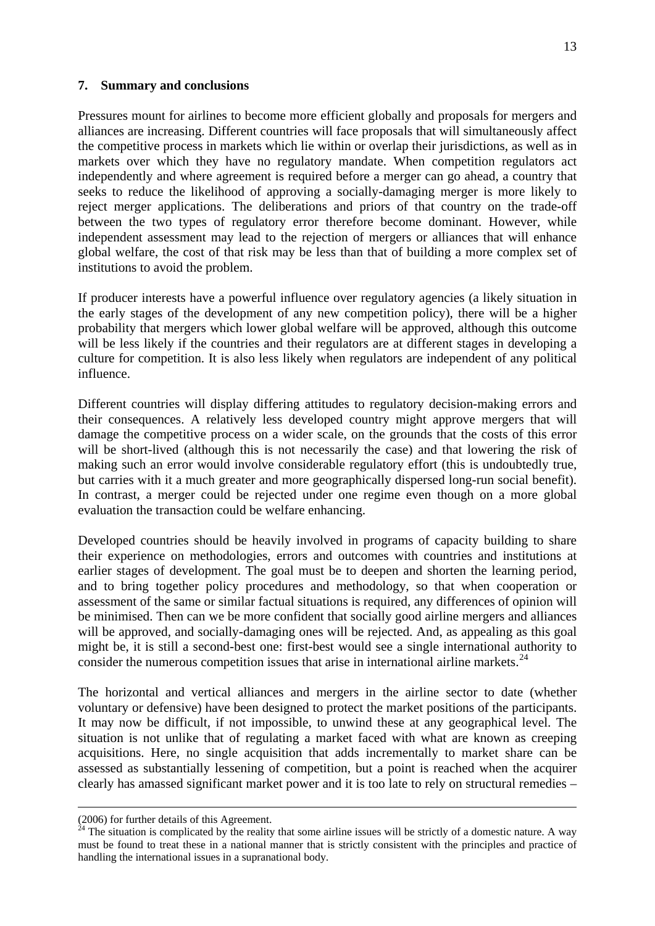#### **7. Summary and conclusions**

Pressures mount for airlines to become more efficient globally and proposals for mergers and alliances are increasing. Different countries will face proposals that will simultaneously affect the competitive process in markets which lie within or overlap their jurisdictions, as well as in markets over which they have no regulatory mandate. When competition regulators act independently and where agreement is required before a merger can go ahead, a country that seeks to reduce the likelihood of approving a socially-damaging merger is more likely to reject merger applications. The deliberations and priors of that country on the trade-off between the two types of regulatory error therefore become dominant. However, while independent assessment may lead to the rejection of mergers or alliances that will enhance global welfare, the cost of that risk may be less than that of building a more complex set of institutions to avoid the problem.

If producer interests have a powerful influence over regulatory agencies (a likely situation in the early stages of the development of any new competition policy), there will be a higher probability that mergers which lower global welfare will be approved, although this outcome will be less likely if the countries and their regulators are at different stages in developing a culture for competition. It is also less likely when regulators are independent of any political influence.

Different countries will display differing attitudes to regulatory decision-making errors and their consequences. A relatively less developed country might approve mergers that will damage the competitive process on a wider scale, on the grounds that the costs of this error will be short-lived (although this is not necessarily the case) and that lowering the risk of making such an error would involve considerable regulatory effort (this is undoubtedly true, but carries with it a much greater and more geographically dispersed long-run social benefit). In contrast, a merger could be rejected under one regime even though on a more global evaluation the transaction could be welfare enhancing.

Developed countries should be heavily involved in programs of capacity building to share their experience on methodologies, errors and outcomes with countries and institutions at earlier stages of development. The goal must be to deepen and shorten the learning period, and to bring together policy procedures and methodology, so that when cooperation or assessment of the same or similar factual situations is required, any differences of opinion will be minimised. Then can we be more confident that socially good airline mergers and alliances will be approved, and socially-damaging ones will be rejected. And, as appealing as this goal might be, it is still a second-best one: first-best would see a single international authority to consider the numerous competition issues that arise in international airline markets.<sup>[24](#page-12-0)</sup>

The horizontal and vertical alliances and mergers in the airline sector to date (whether voluntary or defensive) have been designed to protect the market positions of the participants. It may now be difficult, if not impossible, to unwind these at any geographical level. The situation is not unlike that of regulating a market faced with what are known as creeping acquisitions. Here, no single acquisition that adds incrementally to market share can be assessed as substantially lessening of competition, but a point is reached when the acquirer clearly has amassed significant market power and it is too late to rely on structural remedies –

 <sup>(2006)</sup> for further details of this Agreement.

<span id="page-12-0"></span> $24$  The situation is complicated by the reality that some airline issues will be strictly of a domestic nature. A way must be found to treat these in a national manner that is strictly consistent with the principles and practice of handling the international issues in a supranational body.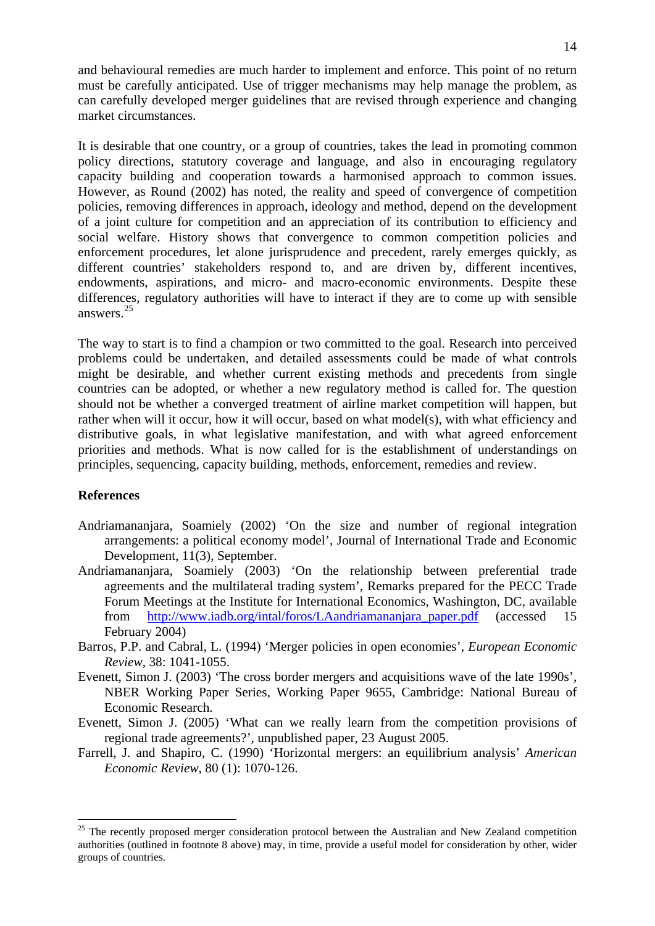and behavioural remedies are much harder to implement and enforce. This point of no return must be carefully anticipated. Use of trigger mechanisms may help manage the problem, as can carefully developed merger guidelines that are revised through experience and changing market circumstances.

It is desirable that one country, or a group of countries, takes the lead in promoting common policy directions, statutory coverage and language, and also in encouraging regulatory capacity building and cooperation towards a harmonised approach to common issues. However, as Round (2002) has noted, the reality and speed of convergence of competition policies, removing differences in approach, ideology and method, depend on the development of a joint culture for competition and an appreciation of its contribution to efficiency and social welfare. History shows that convergence to common competition policies and enforcement procedures, let alone jurisprudence and precedent, rarely emerges quickly, as different countries' stakeholders respond to, and are driven by, different incentives, endowments, aspirations, and micro- and macro-economic environments. Despite these differences, regulatory authorities will have to interact if they are to come up with sensible answers.[25](#page-13-0)

The way to start is to find a champion or two committed to the goal. Research into perceived problems could be undertaken, and detailed assessments could be made of what controls might be desirable, and whether current existing methods and precedents from single countries can be adopted, or whether a new regulatory method is called for. The question should not be whether a converged treatment of airline market competition will happen, but rather when will it occur, how it will occur, based on what model(s), with what efficiency and distributive goals, in what legislative manifestation, and with what agreed enforcement priorities and methods. What is now called for is the establishment of understandings on principles, sequencing, capacity building, methods, enforcement, remedies and review.

### **References**

- Andriamananjara, Soamiely (2002) 'On the size and number of regional integration arrangements: a political economy model', Journal of International Trade and Economic Development, 11(3), September.
- Andriamananjara, Soamiely (2003) 'On the relationship between preferential trade agreements and the multilateral trading system', Remarks prepared for the PECC Trade Forum Meetings at the Institute for International Economics, Washington, DC, available from [http://www.iadb.org/intal/foros/LAandriamananjara\\_paper.pdf](http://www.iadb.org/intal/foros/LAandriamananjara_paper.pdf) (accessed 15 February 2004)
- Barros, P.P. and Cabral, L. (1994) 'Merger policies in open economies', *European Economic Review*, 38: 1041-1055.
- Evenett, Simon J. (2003) 'The cross border mergers and acquisitions wave of the late 1990s', NBER Working Paper Series, Working Paper 9655, Cambridge: National Bureau of Economic Research.
- Evenett, Simon J. (2005) 'What can we really learn from the competition provisions of regional trade agreements?', unpublished paper, 23 August 2005.
- Farrell, J. and Shapiro, C. (1990) 'Horizontal mergers: an equilibrium analysis' *American Economic Review*, 80 (1): 1070-126.

<span id="page-13-0"></span><sup>&</sup>lt;sup>25</sup> The recently proposed merger consideration protocol between the Australian and New Zealand competition authorities (outlined in footnote 8 above) may, in time, provide a useful model for consideration by other, wider groups of countries.